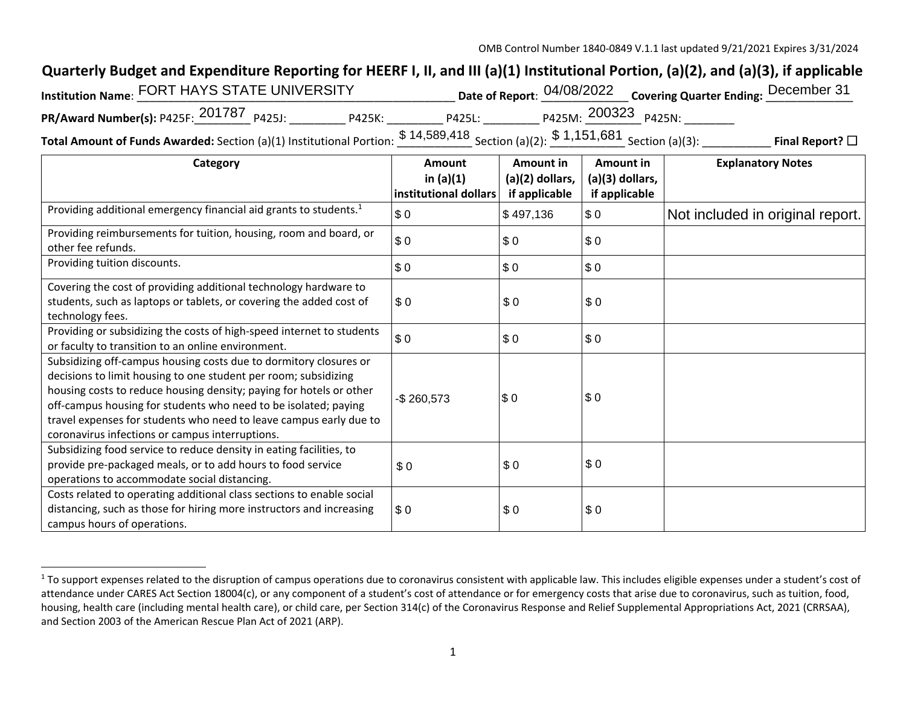## **Quarterly Budget and Expenditure Reporting for HEERF I, II, and III (a)(1) Institutional Portion, (a)(2), and (a)(3), if applicable**

| 'nstitution Name: FORT HAYS STATE UNIVERSITY       |                   |                      | Date of Report: 04/08/2022 Covering Quarter Ending: December 31 |
|----------------------------------------------------|-------------------|----------------------|-----------------------------------------------------------------|
| PR/Award Number(s): P425F: 201787 P425J:<br>P425K: | P425L:            | P425M: 200323 P425N: |                                                                 |
|                                                    | <b>CALEDO 140</b> | <b>CA AFA COA</b>    |                                                                 |

**Total Amount of Funds Awarded:** Section (a)(1) Institutional Portion:  $\frac{\$~14,589,418}{\$~1.151,681~\$~1.151,681~\$~1.151,681~\$~1.151,681~\$~1.151,681~\$~1.151,681~\$~1.151,681~\$~1.151,681~\$~1.151,681~\$~1.151,681~\$~$ 

| Category                                                                                                                                                                                                                                                                                                                                                                                                | Amount<br>in $(a)(1)$<br>institutional dollars | Amount in<br>$(a)(2)$ dollars, | Amount in<br>(a)(3) dollars,<br>if applicable | <b>Explanatory Notes</b>         |
|---------------------------------------------------------------------------------------------------------------------------------------------------------------------------------------------------------------------------------------------------------------------------------------------------------------------------------------------------------------------------------------------------------|------------------------------------------------|--------------------------------|-----------------------------------------------|----------------------------------|
| Providing additional emergency financial aid grants to students. <sup>1</sup>                                                                                                                                                                                                                                                                                                                           | \$0                                            | if applicable<br>\$497,136     | \$0                                           | Not included in original report. |
| Providing reimbursements for tuition, housing, room and board, or<br>other fee refunds.                                                                                                                                                                                                                                                                                                                 | \$0                                            | \$0                            | \$0                                           |                                  |
| Providing tuition discounts.                                                                                                                                                                                                                                                                                                                                                                            | \$0                                            | \$0                            | \$0                                           |                                  |
| Covering the cost of providing additional technology hardware to<br>students, such as laptops or tablets, or covering the added cost of<br>technology fees.                                                                                                                                                                                                                                             | \$0                                            | \$0                            | \$0                                           |                                  |
| Providing or subsidizing the costs of high-speed internet to students<br>or faculty to transition to an online environment.                                                                                                                                                                                                                                                                             | \$0                                            | \$0                            | \$0                                           |                                  |
| Subsidizing off-campus housing costs due to dormitory closures or<br>decisions to limit housing to one student per room; subsidizing<br>housing costs to reduce housing density; paying for hotels or other<br>off-campus housing for students who need to be isolated; paying<br>travel expenses for students who need to leave campus early due to<br>coronavirus infections or campus interruptions. | $-$260,573$                                    | \$0                            | \$0                                           |                                  |
| Subsidizing food service to reduce density in eating facilities, to<br>provide pre-packaged meals, or to add hours to food service<br>operations to accommodate social distancing.                                                                                                                                                                                                                      | \$0                                            | \$0                            | \$0                                           |                                  |
| Costs related to operating additional class sections to enable social<br>distancing, such as those for hiring more instructors and increasing<br>campus hours of operations.                                                                                                                                                                                                                            | \$0                                            | \$0                            | \$0                                           |                                  |

<sup>&</sup>lt;sup>1</sup> To support expenses related to the disruption of campus operations due to coronavirus consistent with applicable law. This includes eligible expenses under a student's cost of attendance under CARES Act Section 18004(c), or any component of a student's cost of attendance or for emergency costs that arise due to coronavirus, such as tuition, food, housing, health care (including mental health care), or child care, per Section 314(c) of the Coronavirus Response and Relief Supplemental Appropriations Act, 2021 (CRRSAA), and Section 2003 of the American Rescue Plan Act of 2021 (ARP).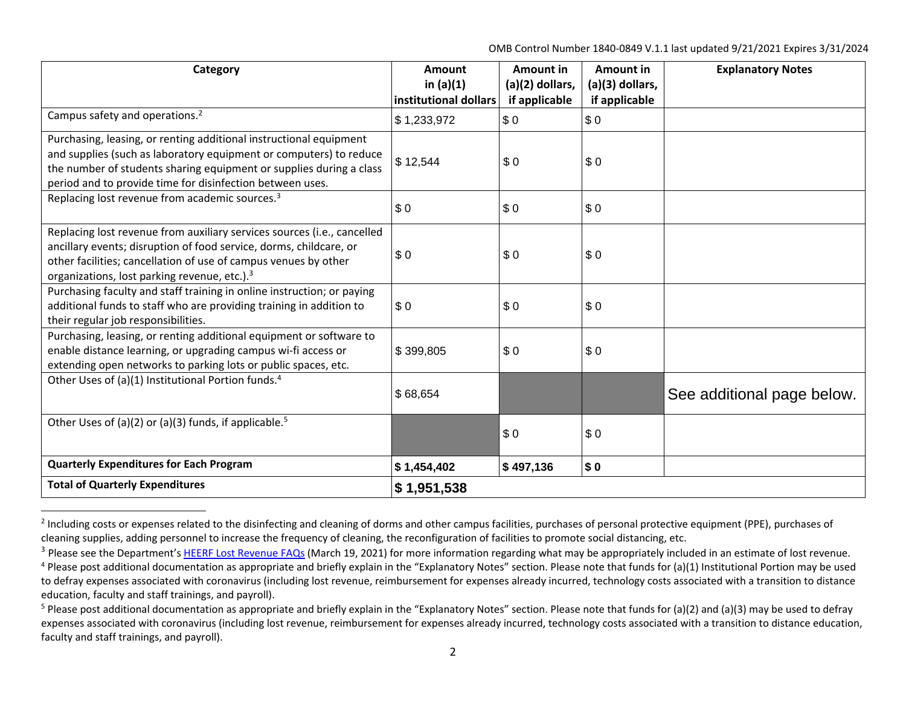OMB Control Number 1840‐0849 V.1.1 last updated 9/21/2021 Expires 3/31/2024

| Category                                                                                                                                                                                                                                                                     | Amount<br>in $(a)(1)$<br>institutional dollars | <b>Amount in</b><br>(a)(2) dollars, | <b>Amount in</b><br>(a)(3) dollars, | <b>Explanatory Notes</b>   |
|------------------------------------------------------------------------------------------------------------------------------------------------------------------------------------------------------------------------------------------------------------------------------|------------------------------------------------|-------------------------------------|-------------------------------------|----------------------------|
| Campus safety and operations. <sup>2</sup>                                                                                                                                                                                                                                   | \$1,233,972                                    | if applicable<br>\$0                | if applicable<br>\$0                |                            |
| Purchasing, leasing, or renting additional instructional equipment<br>and supplies (such as laboratory equipment or computers) to reduce<br>the number of students sharing equipment or supplies during a class<br>period and to provide time for disinfection between uses. | \$12,544                                       | \$0                                 | \$0                                 |                            |
| Replacing lost revenue from academic sources. <sup>3</sup>                                                                                                                                                                                                                   | \$0                                            | \$0                                 | \$0                                 |                            |
| Replacing lost revenue from auxiliary services sources (i.e., cancelled<br>ancillary events; disruption of food service, dorms, childcare, or<br>other facilities; cancellation of use of campus venues by other<br>organizations, lost parking revenue, etc.). <sup>3</sup> | \$0                                            | \$0                                 | \$0                                 |                            |
| Purchasing faculty and staff training in online instruction; or paying<br>additional funds to staff who are providing training in addition to<br>their regular job responsibilities.                                                                                         | \$0                                            | \$0                                 | \$0                                 |                            |
| Purchasing, leasing, or renting additional equipment or software to<br>enable distance learning, or upgrading campus wi-fi access or<br>extending open networks to parking lots or public spaces, etc.                                                                       | \$399,805                                      | \$0                                 | \$0                                 |                            |
| Other Uses of (a)(1) Institutional Portion funds. <sup>4</sup>                                                                                                                                                                                                               | \$68,654                                       |                                     |                                     | See additional page below. |
| Other Uses of (a)(2) or (a)(3) funds, if applicable. <sup>5</sup>                                                                                                                                                                                                            |                                                | \$0                                 | \$0                                 |                            |
| <b>Quarterly Expenditures for Each Program</b>                                                                                                                                                                                                                               | \$1,454,402                                    | \$497,136                           | \$0                                 |                            |
| <b>Total of Quarterly Expenditures</b>                                                                                                                                                                                                                                       | \$1,951,538                                    |                                     |                                     |                            |

<sup>&</sup>lt;sup>2</sup> Including costs or expenses related to the disinfecting and cleaning of dorms and other campus facilities, purchases of personal protective equipment (PPE), purchases of cleaning supplies, adding personnel to increase the frequency of cleaning, the reconfiguration of facilities to promote social distancing, etc.

<sup>&</sup>lt;sup>3</sup> Please see the Department's HEERF Lost Revenue FAQs (March 19, 2021) for more information regarding what may be appropriately included in an estimate of lost revenue.

 $4$  Please post additional documentation as appropriate and briefly explain in the "Explanatory Notes" section. Please note that funds for (a)(1) Institutional Portion may be used to defray expenses associated with coronavirus (including lost revenue, reimbursement for expenses already incurred, technology costs associated with a transition to distance education, faculty and staff trainings, and payroll).

<sup>&</sup>lt;sup>5</sup> Please post additional documentation as appropriate and briefly explain in the "Explanatory Notes" section. Please note that funds for (a)(2) and (a)(3) may be used to defray expenses associated with coronavirus (including lost revenue, reimbursement for expenses already incurred, technology costs associated with a transition to distance education, faculty and staff trainings, and payroll).